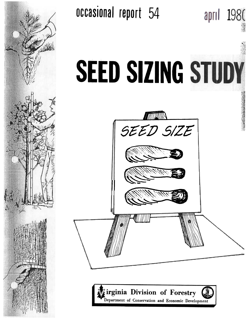

occasional report 54



april 1980



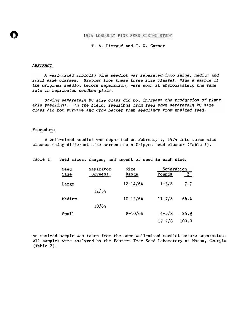## 1974 LOBLOLLY PINE SEED SIZING STUDY

## t. A. Dierauf and J. w. Garner

#### ABSTRACT

**Q** 

A well-mixed loblolly pine seedlot was separated into large, medium and small size classes. Samples from these three size classes, plus a sample of the original seedlot before separation, were sown at approximately the same rate in replicated seedbed plots.

Sowing separately by size class did not increase the production of plantable seedlings. In the field, seedlings from seed sown separately by size class did not survive and grow better than seedlings from unsized seed.

#### Procedure

A well-mixed seedlot was separated on February 7, 1974 into three size classes using different size screens on a Crippen seed cleaner (Table 1).

Table 1. Seed sizes, ranges, and amount of seed in each size.

| Seed   | Separator | Size         | Separation |       |
|--------|-----------|--------------|------------|-------|
| Size   | Screens   | Range        | Pounds     | %     |
| Large  |           | $12 - 14/64$ | $1 - 3/8$  | 7.7   |
|        | 12/64     |              |            |       |
| Medium |           | $10 - 12/64$ | $11 - 7/8$ | 66.4  |
|        | 10/64     |              |            |       |
| Sma11  |           | $8 - 10/64$  | $4 - 5/8$  | 25.9  |
|        |           |              | $17 - 7/8$ | 100.0 |

An unsized sample was taken from the same well-mixed seedlot before separation. All samples were analyzed by the Eastern Tree Seed Laboratory at Macon, Georgia (Table 2). !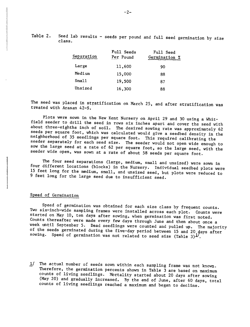Table 2. Seed lab results - seeds per pound and full seed germination by size class.

| Separation | Full Seeds<br>Per Pound | Full Seed<br>Germination % |
|------------|-------------------------|----------------------------|
| Large      | 11,600                  | 90                         |
| Medium     | 15,000                  | 88                         |
| Small      | 19,500                  | 87                         |
| Unsized    | 16,300                  | 88                         |

The seed was placed in stratification on March 25, and after stratification was treated with Arasan 42-8.

Plots were sown in the New Kent Nursery on April 29 and 30 using a Whitfield seeder to drill the seed in rows six inches apart and cover the seed with about three-eighths inch of soil. The desired sowing rate was approximately 62 seeds per square foot, which was calculated would give a seedbed density in the neighborhood of 35 seedlings per square foot. This required calibrating the seeder separately for each seed size. The seeder would not open wide enough to sow the large seed at a rate of 62 per square foot, so the large seed, with the seeder wide open, was sown at a rate of about 58 seeds per square foot.

The four seed separations (large, medium, small and unsized) were sown in four different locations (blocks) in the Nursery. Individual seedbed plots were 15 feet long for the medium, small, and unsized seed, but plots were reduced to 9 feet long for the large seed due to insufficient seed.

### Speed of Germination

Speed of germination was obtained for each size class by frequent counts. Two six-inch-wide sampling frames were installed across each plot. Counts were started on May 10, ten days after sowing, when germination was first noted. Counts thereafter were made every few days through June and then about once a week until September 5. Dead seedlings were counted and pulled up. The majority of the seeds germinated during the five-day period between 15 and 20 days after sowing. Speed of germination was not related to seed size (Table 3) $\frac{1}{2}$ .

1/ The actual number of seeds sown within each sampling frame was not known. Therefore, the germination percents shown in Table  $\bar{3}$  are based on maximum counts of living seedlings. Mortality started about 20 days after sowing (May 20) and gradually increased. By the end of June, after 60 days, total counts of living seedlings reached a maximum and began to decline.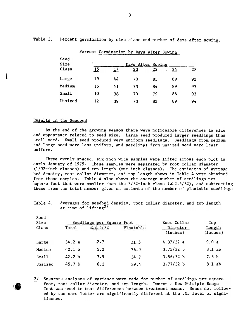|              | Percent Germination by Days After Sowing |    |    |    |    |                 |
|--------------|------------------------------------------|----|----|----|----|-----------------|
| Seed<br>Size | Days After Sowing                        |    |    |    |    |                 |
| Class        | $\overline{15}$                          | 17 | 20 | 22 | 24 | $\overline{28}$ |
| Large        | 19                                       | 44 | 70 | 83 | 89 | 92              |
| Medium       | 15                                       | 41 | 73 | 84 | 89 | 93              |
| Small        | 10                                       | 38 | 70 | 79 | 86 | 93              |
| Unsized      | 12                                       | 39 | 73 | 82 | 89 | 94              |

Table 3. Percent germination by size class and number of days after sowing.

## Results in the Seedbed

Seed

(.

By the end of the growing season there were noticeable differences in size and appearance related to seed size. Large seed produced larger seedlings than small seed. Small seed produced very uniform seedlings. Seedlings from medium and large seed were less uniform, and seedlings from unsized seed were least uniform.

Three evenly-spaced, six-inch-wide samples were lifted across each plot in early January of 1975. These samples were separated by root collar diameter (1/32-inch classes) and top length (one-inch classes). The estimates of average bed density, root collar diameter, and top length shown in Table 4 were obtained from these samples. Table 4 also shows the average number of seedlings per square foot that were smaller than the  $3/32$ -inch class ( $\angle$ 2.5/32), and subtracting these from the total number gives an estimate of the number of plantable seedlings

Table 4. Averages for seedbed density, root collar diameter, and top length at time of  $1$ ifting<sup>2</sup>/

| ----<br>Size | Seedlings per Square Foot |        |           | Root Collar          | Top                |  |
|--------------|---------------------------|--------|-----------|----------------------|--------------------|--|
| Class        | Total                     | 2.5/32 | Plantable | Diameter<br>(inches) | Length<br>(inches) |  |
| Large        | 34.2a                     | 2.7    | 31.5      | 4.32/32 a            | 9.0a               |  |
| Medium       | 42.1 <sub>b</sub>         | 5.2    | 36.9      | 3.75/32 b            | $8.1$ ab           |  |
| Small        | 42.2 <sub>b</sub>         | 7.5    | 34.7      | 3.56/32 b            | 7.3 <sub>b</sub>   |  |
| Unsized      | 45.7 <sub>b</sub>         | 6.3    | 39.4      | 3.77/32 b            | 8.1 ab             |  |

<sup>2/</sup> Separate analyses of variance were made for number of seedlings per squar foot, root collar diameter, and top length. Duncan's New Multiple Range Test was used to test differences between treatment means. Means not followed by the same letter are significantly different at the .05 level of significance.